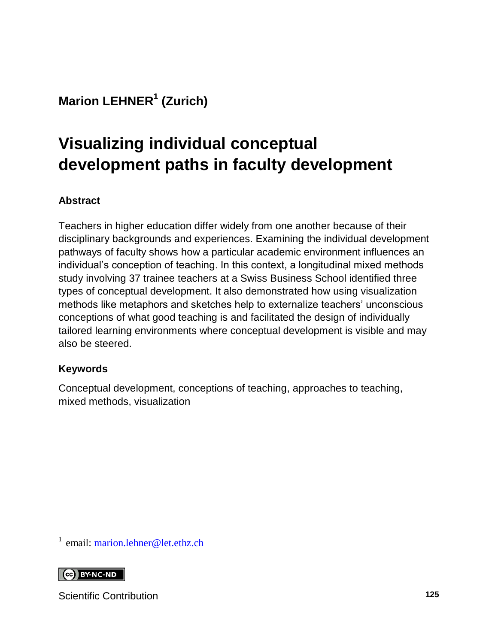## **Marion LEHNER<sup>1</sup> (Zurich)**

# **Visualizing individual conceptual development paths in faculty development**

#### **Abstract**

Teachers in higher education differ widely from one another because of their disciplinary backgrounds and experiences. Examining the individual development pathways of faculty shows how a particular academic environment influences an individual's conception of teaching. In this context, a longitudinal mixed methods study involving 37 trainee teachers at a Swiss Business School identified three types of conceptual development. It also demonstrated how using visualization methods like metaphors and sketches help to externalize teachers' unconscious conceptions of what good teaching is and facilitated the design of individually tailored learning environments where conceptual development is visible and may also be steered.

#### **Keywords**

Conceptual development, conceptions of teaching, approaches to teaching, mixed methods, visualization

<sup>1</sup> email: [marion.lehner@let.ethz.ch](mailto:marion.lehner@let.ethz.ch)

#### $\left[$   $\left[$   $\right]$   $\left[$   $\right]$   $\left[$   $\right]$   $\left[$   $\right]$   $\left[$   $\left[$   $\right]$   $\left[$   $\right]$   $\left[$   $\left[$   $\right]$   $\left[$   $\right]$   $\left[$   $\right]$   $\left[$   $\left[$   $\right]$   $\left[$   $\right]$   $\left[$   $\left[$   $\right]$   $\left[$   $\right]$   $\left[$   $\left[$   $\right]$   $\left[$   $\right]$   $\left[$

l

Scientific Contribution **125**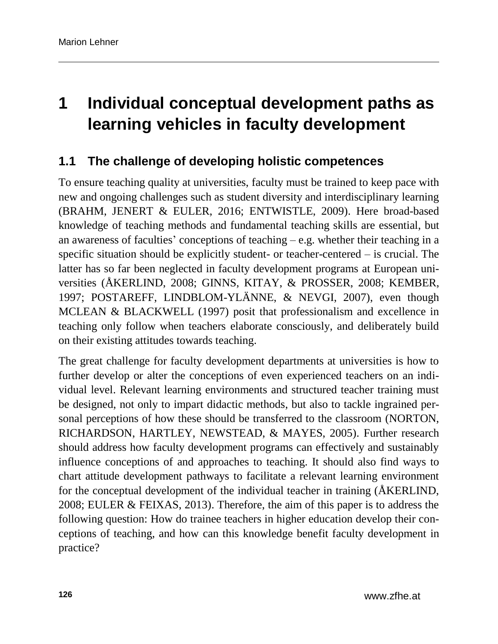# **1 Individual conceptual development paths as learning vehicles in faculty development**

## **1.1 The challenge of developing holistic competences**

To ensure teaching quality at universities, faculty must be trained to keep pace with new and ongoing challenges such as student diversity and interdisciplinary learning (BRAHM, JENERT & EULER, 2016; ENTWISTLE, 2009). Here broad-based knowledge of teaching methods and fundamental teaching skills are essential, but an awareness of faculties' conceptions of teaching  $-e.g.$  whether their teaching in a specific situation should be explicitly student- or teacher-centered – is crucial. The latter has so far been neglected in faculty development programs at European universities (ÅKERLIND, 2008; GINNS, KITAY, & PROSSER, 2008; KEMBER, 1997; POSTAREFF, LINDBLOM-YLÄNNE, & NEVGI, 2007), even though MCLEAN & BLACKWELL (1997) posit that professionalism and excellence in teaching only follow when teachers elaborate consciously, and deliberately build on their existing attitudes towards teaching.

The great challenge for faculty development departments at universities is how to further develop or alter the conceptions of even experienced teachers on an individual level. Relevant learning environments and structured teacher training must be designed, not only to impart didactic methods, but also to tackle ingrained personal perceptions of how these should be transferred to the classroom (NORTON, RICHARDSON, HARTLEY, NEWSTEAD, & MAYES, 2005). Further research should address how faculty development programs can effectively and sustainably influence conceptions of and approaches to teaching. It should also find ways to chart attitude development pathways to facilitate a relevant learning environment for the conceptual development of the individual teacher in training (ÅKERLIND, 2008; EULER & FEIXAS, 2013). Therefore, the aim of this paper is to address the following question: How do trainee teachers in higher education develop their conceptions of teaching, and how can this knowledge benefit faculty development in practice?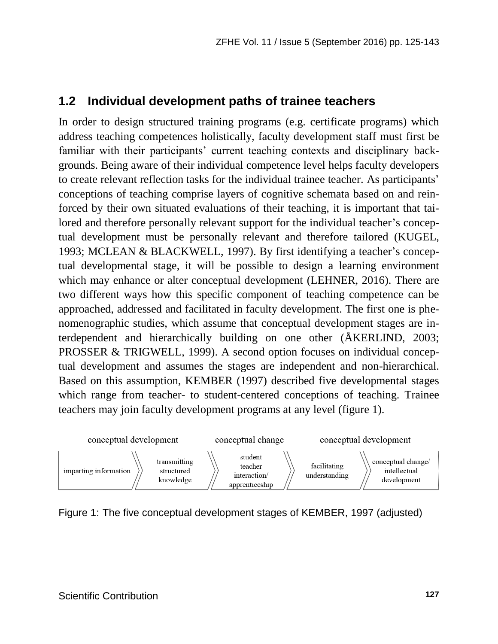### **1.2 Individual development paths of trainee teachers**

In order to design structured training programs (e.g. certificate programs) which address teaching competences holistically, faculty development staff must first be familiar with their participants' current teaching contexts and disciplinary backgrounds. Being aware of their individual competence level helps faculty developers to create relevant reflection tasks for the individual trainee teacher. As participants' conceptions of teaching comprise layers of cognitive schemata based on and reinforced by their own situated evaluations of their teaching, it is important that tailored and therefore personally relevant support for the individual teacher's conceptual development must be personally relevant and therefore tailored (KUGEL, 1993; MCLEAN & BLACKWELL, 1997). By first identifying a teacher's conceptual developmental stage, it will be possible to design a learning environment which may enhance or alter conceptual development (LEHNER, 2016). There are two different ways how this specific component of teaching competence can be approached, addressed and facilitated in faculty development. The first one is phenomenographic studies, which assume that conceptual development stages are interdependent and hierarchically building on one other (ÅKERLIND, 2003; PROSSER & TRIGWELL, 1999). A second option focuses on individual conceptual development and assumes the stages are independent and non-hierarchical. Based on this assumption, KEMBER (1997) described five developmental stages which range from teacher- to student-centered conceptions of teaching. Trainee teachers may join faculty development programs at any level (figure 1).



Figure 1: The five conceptual development stages of KEMBER, 1997 (adjusted)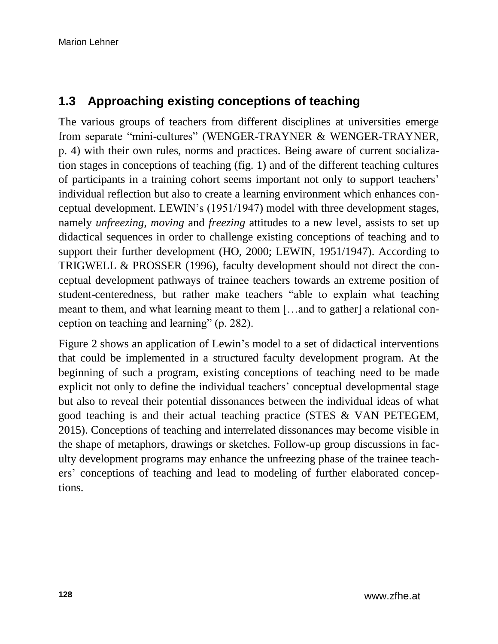## **1.3 Approaching existing conceptions of teaching**

The various groups of teachers from different disciplines at universities emerge from separate "mini-cultures" (WENGER-TRAYNER & WENGER-TRAYNER, p. 4) with their own rules, norms and practices. Being aware of current socialization stages in conceptions of teaching (fig. 1) and of the different teaching cultures of participants in a training cohort seems important not only to support teachers' individual reflection but also to create a learning environment which enhances conceptual development. LEWIN's (1951/1947) model with three development stages, namely *unfreezing, moving* and *freezing* attitudes to a new level, assists to set up didactical sequences in order to challenge existing conceptions of teaching and to support their further development (HO, 2000; LEWIN, 1951/1947). According to TRIGWELL & PROSSER (1996), faculty development should not direct the conceptual development pathways of trainee teachers towards an extreme position of student-centeredness, but rather make teachers "able to explain what teaching meant to them, and what learning meant to them […and to gather] a relational conception on teaching and learning" (p. 282).

Figure 2 shows an application of Lewin's model to a set of didactical interventions that could be implemented in a structured faculty development program. At the beginning of such a program, existing conceptions of teaching need to be made explicit not only to define the individual teachers' conceptual developmental stage but also to reveal their potential dissonances between the individual ideas of what good teaching is and their actual teaching practice (STES  $\&$  VAN PETEGEM, 2015). Conceptions of teaching and interrelated dissonances may become visible in the shape of metaphors, drawings or sketches. Follow-up group discussions in faculty development programs may enhance the unfreezing phase of the trainee teachers' conceptions of teaching and lead to modeling of further elaborated conceptions.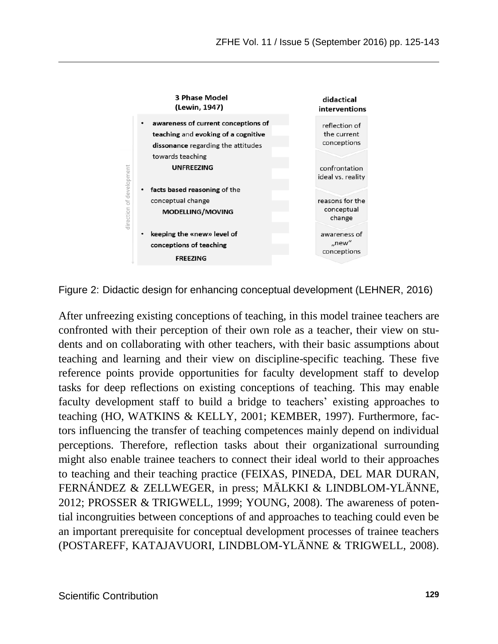

Figure 2: Didactic design for enhancing conceptual development (LEHNER, 2016)

After unfreezing existing conceptions of teaching, in this model trainee teachers are confronted with their perception of their own role as a teacher, their view on students and on collaborating with other teachers, with their basic assumptions about teaching and learning and their view on discipline-specific teaching. These five reference points provide opportunities for faculty development staff to develop tasks for deep reflections on existing conceptions of teaching. This may enable faculty development staff to build a bridge to teachers' existing approaches to teaching (HO, WATKINS & KELLY, 2001; KEMBER, 1997). Furthermore, factors influencing the transfer of teaching competences mainly depend on individual perceptions. Therefore, reflection tasks about their organizational surrounding might also enable trainee teachers to connect their ideal world to their approaches to teaching and their teaching practice (FEIXAS, PINEDA, DEL MAR DURAN, FERNÁNDEZ & ZELLWEGER, in press; MÄLKKI & LINDBLOM-YLÄNNE, 2012; PROSSER & TRIGWELL, 1999; YOUNG, 2008). The awareness of potential incongruities between conceptions of and approaches to teaching could even be an important prerequisite for conceptual development processes of trainee teachers (POSTAREFF, KATAJAVUORI, LINDBLOM-YLÄNNE & TRIGWELL, 2008).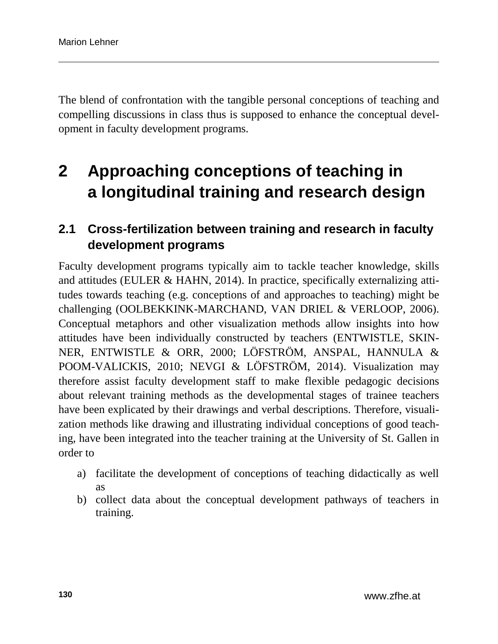The blend of confrontation with the tangible personal conceptions of teaching and compelling discussions in class thus is supposed to enhance the conceptual development in faculty development programs.

# **2 Approaching conceptions of teaching in a longitudinal training and research design**

## **2.1 Cross-fertilization between training and research in faculty development programs**

Faculty development programs typically aim to tackle teacher knowledge, skills and attitudes (EULER & HAHN, 2014). In practice, specifically externalizing attitudes towards teaching (e.g. conceptions of and approaches to teaching) might be challenging (OOLBEKKINK-MARCHAND, VAN DRIEL & VERLOOP, 2006). Conceptual metaphors and other visualization methods allow insights into how attitudes have been individually constructed by teachers (ENTWISTLE, SKIN-NER, ENTWISTLE & ORR, 2000; LÖFSTRÖM, ANSPAL, HANNULA & POOM-VALICKIS, 2010; NEVGI & LÖFSTRÖM, 2014). Visualization may therefore assist faculty development staff to make flexible pedagogic decisions about relevant training methods as the developmental stages of trainee teachers have been explicated by their drawings and verbal descriptions. Therefore, visualization methods like drawing and illustrating individual conceptions of good teaching, have been integrated into the teacher training at the University of St. Gallen in order to

- a) facilitate the development of conceptions of teaching didactically as well as
- b) collect data about the conceptual development pathways of teachers in training.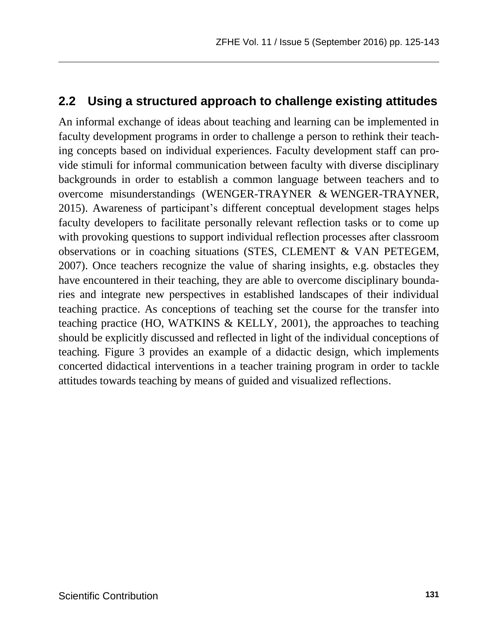### **2.2 Using a structured approach to challenge existing attitudes**

An informal exchange of ideas about teaching and learning can be implemented in faculty development programs in order to challenge a person to rethink their teaching concepts based on individual experiences. Faculty development staff can provide stimuli for informal communication between faculty with diverse disciplinary backgrounds in order to establish a common language between teachers and to overcome misunderstandings (WENGER-TRAYNER & WENGER-TRAYNER, 2015). Awareness of participant's different conceptual development stages helps faculty developers to facilitate personally relevant reflection tasks or to come up with provoking questions to support individual reflection processes after classroom observations or in coaching situations (STES, CLEMENT & VAN PETEGEM, 2007). Once teachers recognize the value of sharing insights, e.g. obstacles they have encountered in their teaching, they are able to overcome disciplinary boundaries and integrate new perspectives in established landscapes of their individual teaching practice. As conceptions of teaching set the course for the transfer into teaching practice (HO, WATKINS & KELLY, 2001), the approaches to teaching should be explicitly discussed and reflected in light of the individual conceptions of teaching. Figure 3 provides an example of a didactic design, which implements concerted didactical interventions in a teacher training program in order to tackle attitudes towards teaching by means of guided and visualized reflections.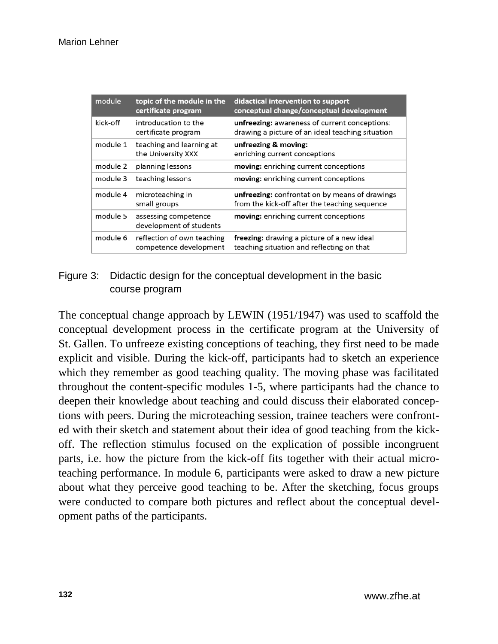| module   | topic of the module in the<br>certificate program    | didactical intervention to support<br>conceptual change/conceptual development                    |
|----------|------------------------------------------------------|---------------------------------------------------------------------------------------------------|
| kick-off | introducation to the<br>certificate program          | unfreezing: awareness of current conceptions:<br>drawing a picture of an ideal teaching situation |
| module 1 | teaching and learning at<br>the University XXX       | unfreezing & moving:<br>enriching current conceptions                                             |
| module 2 | planning lessons                                     | moving: enriching current conceptions                                                             |
| module 3 | teaching lessons                                     | moving: enriching current conceptions                                                             |
| module 4 | microteaching in<br>small groups                     | unfreezing: confrontation by means of drawings<br>from the kick-off after the teaching sequence   |
| module 5 | assessing competence<br>development of students      | moving: enriching current conceptions                                                             |
| module 6 | reflection of own teaching<br>competence development | freezing: drawing a picture of a new ideal<br>teaching situation and reflecting on that           |

#### Figure 3: Didactic design for the conceptual development in the basic course program

The conceptual change approach by LEWIN (1951/1947) was used to scaffold the conceptual development process in the certificate program at the University of St. Gallen. To unfreeze existing conceptions of teaching, they first need to be made explicit and visible. During the kick-off, participants had to sketch an experience which they remember as good teaching quality. The moving phase was facilitated throughout the content-specific modules 1-5, where participants had the chance to deepen their knowledge about teaching and could discuss their elaborated conceptions with peers. During the microteaching session, trainee teachers were confronted with their sketch and statement about their idea of good teaching from the kickoff. The reflection stimulus focused on the explication of possible incongruent parts, i.e. how the picture from the kick-off fits together with their actual microteaching performance. In module 6, participants were asked to draw a new picture about what they perceive good teaching to be. After the sketching, focus groups were conducted to compare both pictures and reflect about the conceptual development paths of the participants.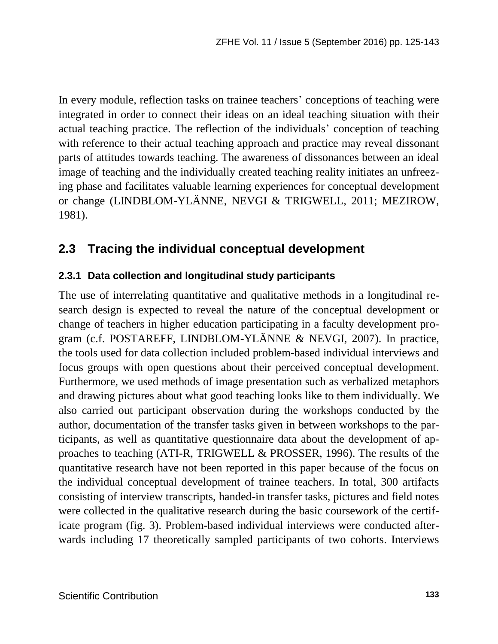In every module, reflection tasks on trainee teachers' conceptions of teaching were integrated in order to connect their ideas on an ideal teaching situation with their actual teaching practice. The reflection of the individuals' conception of teaching with reference to their actual teaching approach and practice may reveal dissonant parts of attitudes towards teaching. The awareness of dissonances between an ideal image of teaching and the individually created teaching reality initiates an unfreezing phase and facilitates valuable learning experiences for conceptual development or change (LINDBLOM-YLÄNNE, NEVGI & TRIGWELL, 2011; MEZIROW, 1981).

## **2.3 Tracing the individual conceptual development**

#### **2.3.1 Data collection and longitudinal study participants**

The use of interrelating quantitative and qualitative methods in a longitudinal research design is expected to reveal the nature of the conceptual development or change of teachers in higher education participating in a faculty development program (c.f. POSTAREFF, LINDBLOM-YLÄNNE & NEVGI, 2007). In practice, the tools used for data collection included problem-based individual interviews and focus groups with open questions about their perceived conceptual development. Furthermore, we used methods of image presentation such as verbalized metaphors and drawing pictures about what good teaching looks like to them individually. We also carried out participant observation during the workshops conducted by the author, documentation of the transfer tasks given in between workshops to the participants, as well as quantitative questionnaire data about the development of approaches to teaching (ATI-R, TRIGWELL & PROSSER, 1996). The results of the quantitative research have not been reported in this paper because of the focus on the individual conceptual development of trainee teachers. In total, 300 artifacts consisting of interview transcripts, handed-in transfer tasks, pictures and field notes were collected in the qualitative research during the basic coursework of the certificate program (fig. 3). Problem-based individual interviews were conducted afterwards including 17 theoretically sampled participants of two cohorts. Interviews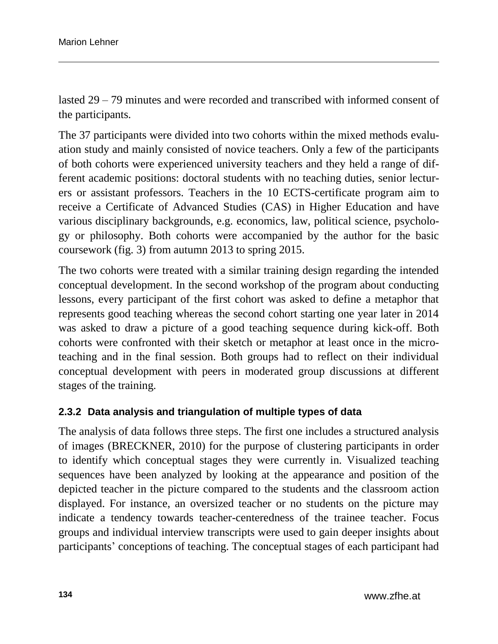lasted 29 – 79 minutes and were recorded and transcribed with informed consent of the participants.

The 37 participants were divided into two cohorts within the mixed methods evaluation study and mainly consisted of novice teachers. Only a few of the participants of both cohorts were experienced university teachers and they held a range of different academic positions: doctoral students with no teaching duties, senior lecturers or assistant professors. Teachers in the 10 ECTS-certificate program aim to receive a Certificate of Advanced Studies (CAS) in Higher Education and have various disciplinary backgrounds, e.g. economics, law, political science, psychology or philosophy. Both cohorts were accompanied by the author for the basic coursework (fig. 3) from autumn 2013 to spring 2015.

The two cohorts were treated with a similar training design regarding the intended conceptual development. In the second workshop of the program about conducting lessons, every participant of the first cohort was asked to define a metaphor that represents good teaching whereas the second cohort starting one year later in 2014 was asked to draw a picture of a good teaching sequence during kick-off. Both cohorts were confronted with their sketch or metaphor at least once in the microteaching and in the final session. Both groups had to reflect on their individual conceptual development with peers in moderated group discussions at different stages of the training.

#### **2.3.2 Data analysis and triangulation of multiple types of data**

The analysis of data follows three steps. The first one includes a structured analysis of images (BRECKNER, 2010) for the purpose of clustering participants in order to identify which conceptual stages they were currently in. Visualized teaching sequences have been analyzed by looking at the appearance and position of the depicted teacher in the picture compared to the students and the classroom action displayed. For instance, an oversized teacher or no students on the picture may indicate a tendency towards teacher-centeredness of the trainee teacher. Focus groups and individual interview transcripts were used to gain deeper insights about participants' conceptions of teaching. The conceptual stages of each participant had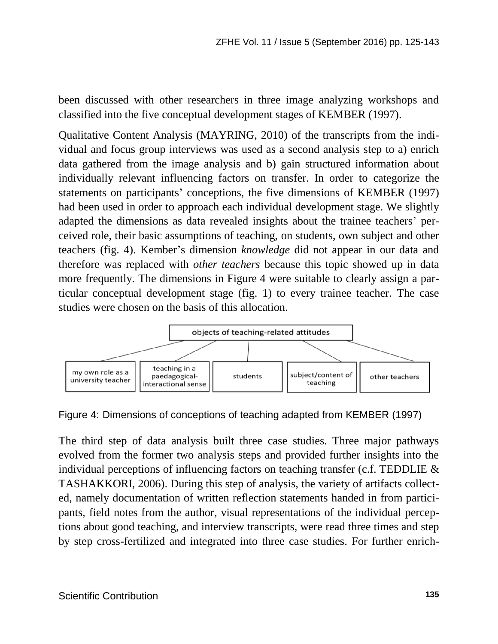been discussed with other researchers in three image analyzing workshops and classified into the five conceptual development stages of KEMBER (1997).

Qualitative Content Analysis (MAYRING, 2010) of the transcripts from the individual and focus group interviews was used as a second analysis step to a) enrich data gathered from the image analysis and b) gain structured information about individually relevant influencing factors on transfer. In order to categorize the statements on participants' conceptions, the five dimensions of KEMBER (1997) had been used in order to approach each individual development stage. We slightly adapted the dimensions as data revealed insights about the trainee teachers' perceived role, their basic assumptions of teaching, on students, own subject and other teachers (fig. 4). Kember's dimension *knowledge* did not appear in our data and therefore was replaced with *other teachers* because this topic showed up in data more frequently. The dimensions in Figure 4 were suitable to clearly assign a particular conceptual development stage (fig. 1) to every trainee teacher. The case studies were chosen on the basis of this allocation.



Figure 4: Dimensions of conceptions of teaching adapted from KEMBER (1997)

The third step of data analysis built three case studies. Three major pathways evolved from the former two analysis steps and provided further insights into the individual perceptions of influencing factors on teaching transfer (c.f. TEDDLIE & TASHAKKORI, 2006). During this step of analysis, the variety of artifacts collected, namely documentation of written reflection statements handed in from participants, field notes from the author, visual representations of the individual perceptions about good teaching, and interview transcripts, were read three times and step by step cross-fertilized and integrated into three case studies. For further enrich-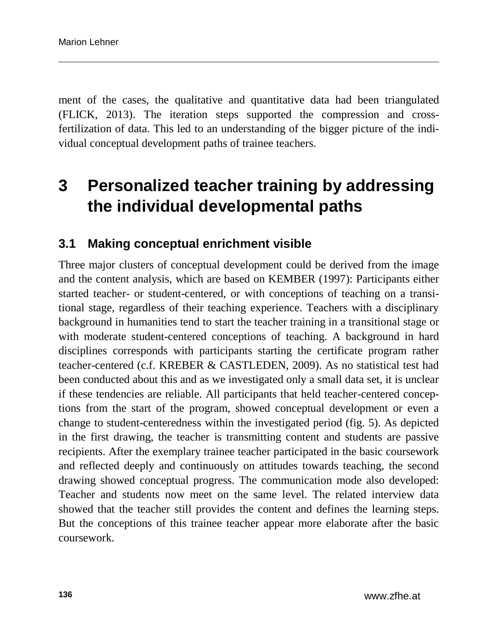ment of the cases, the qualitative and quantitative data had been triangulated (FLICK, 2013). The iteration steps supported the compression and crossfertilization of data. This led to an understanding of the bigger picture of the individual conceptual development paths of trainee teachers.

## **3 Personalized teacher training by addressing the individual developmental paths**

### **3.1 Making conceptual enrichment visible**

Three major clusters of conceptual development could be derived from the image and the content analysis, which are based on KEMBER (1997): Participants either started teacher- or student-centered, or with conceptions of teaching on a transitional stage, regardless of their teaching experience. Teachers with a disciplinary background in humanities tend to start the teacher training in a transitional stage or with moderate student-centered conceptions of teaching. A background in hard disciplines corresponds with participants starting the certificate program rather teacher-centered (c.f. KREBER & CASTLEDEN, 2009). As no statistical test had been conducted about this and as we investigated only a small data set, it is unclear if these tendencies are reliable. All participants that held teacher-centered conceptions from the start of the program, showed conceptual development or even a change to student-centeredness within the investigated period (fig. 5). As depicted in the first drawing, the teacher is transmitting content and students are passive recipients. After the exemplary trainee teacher participated in the basic coursework and reflected deeply and continuously on attitudes towards teaching, the second drawing showed conceptual progress. The communication mode also developed: Teacher and students now meet on the same level. The related interview data showed that the teacher still provides the content and defines the learning steps. But the conceptions of this trainee teacher appear more elaborate after the basic coursework.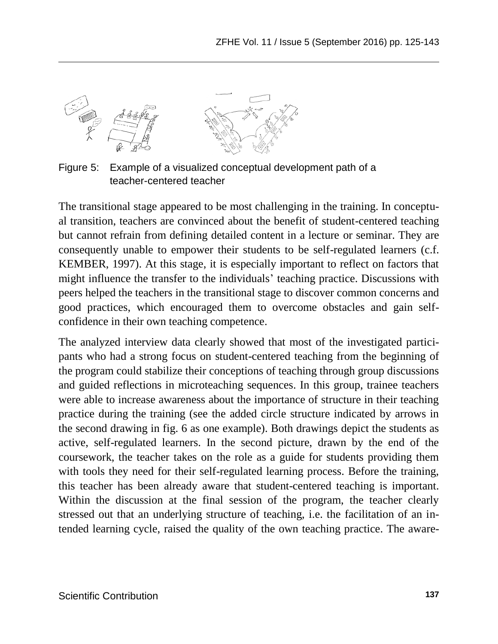

Figure 5: Example of a visualized conceptual development path of a teacher-centered teacher

The transitional stage appeared to be most challenging in the training. In conceptual transition, teachers are convinced about the benefit of student-centered teaching but cannot refrain from defining detailed content in a lecture or seminar. They are consequently unable to empower their students to be self-regulated learners (c.f. KEMBER, 1997). At this stage, it is especially important to reflect on factors that might influence the transfer to the individuals' teaching practice. Discussions with peers helped the teachers in the transitional stage to discover common concerns and good practices, which encouraged them to overcome obstacles and gain selfconfidence in their own teaching competence.

The analyzed interview data clearly showed that most of the investigated participants who had a strong focus on student-centered teaching from the beginning of the program could stabilize their conceptions of teaching through group discussions and guided reflections in microteaching sequences. In this group, trainee teachers were able to increase awareness about the importance of structure in their teaching practice during the training (see the added circle structure indicated by arrows in the second drawing in fig. 6 as one example). Both drawings depict the students as active, self-regulated learners. In the second picture, drawn by the end of the coursework, the teacher takes on the role as a guide for students providing them with tools they need for their self-regulated learning process. Before the training, this teacher has been already aware that student-centered teaching is important. Within the discussion at the final session of the program, the teacher clearly stressed out that an underlying structure of teaching, i.e. the facilitation of an intended learning cycle, raised the quality of the own teaching practice. The aware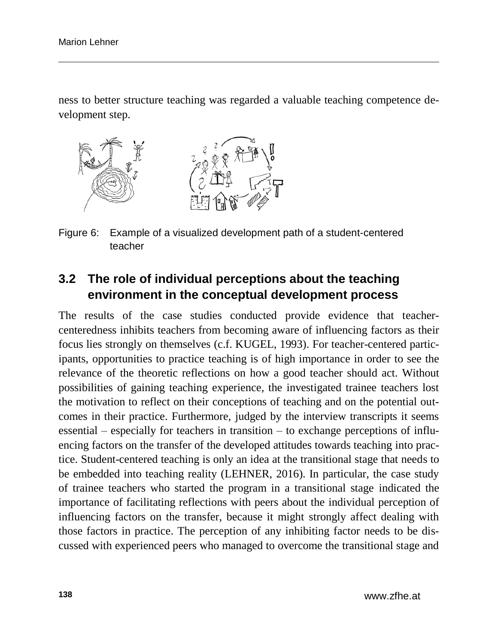ness to better structure teaching was regarded a valuable teaching competence development step.



Figure 6: Example of a visualized development path of a student-centered teacher

## **3.2 The role of individual perceptions about the teaching environment in the conceptual development process**

The results of the case studies conducted provide evidence that teachercenteredness inhibits teachers from becoming aware of influencing factors as their focus lies strongly on themselves (c.f. KUGEL, 1993). For teacher-centered participants, opportunities to practice teaching is of high importance in order to see the relevance of the theoretic reflections on how a good teacher should act. Without possibilities of gaining teaching experience, the investigated trainee teachers lost the motivation to reflect on their conceptions of teaching and on the potential outcomes in their practice. Furthermore, judged by the interview transcripts it seems essential – especially for teachers in transition – to exchange perceptions of influencing factors on the transfer of the developed attitudes towards teaching into practice. Student-centered teaching is only an idea at the transitional stage that needs to be embedded into teaching reality (LEHNER, 2016). In particular, the case study of trainee teachers who started the program in a transitional stage indicated the importance of facilitating reflections with peers about the individual perception of influencing factors on the transfer, because it might strongly affect dealing with those factors in practice. The perception of any inhibiting factor needs to be discussed with experienced peers who managed to overcome the transitional stage and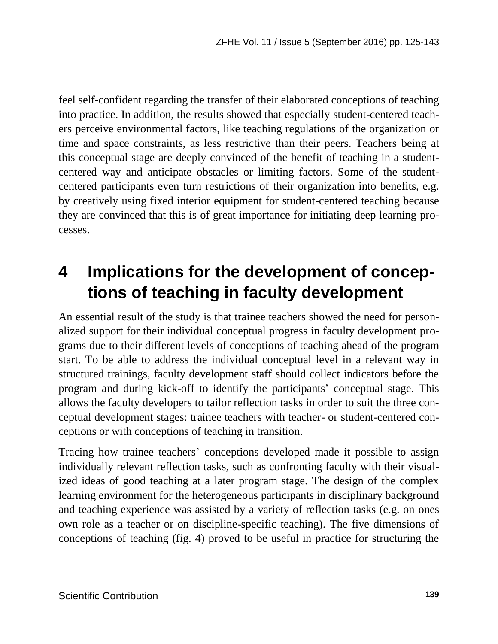feel self-confident regarding the transfer of their elaborated conceptions of teaching into practice. In addition, the results showed that especially student-centered teachers perceive environmental factors, like teaching regulations of the organization or time and space constraints, as less restrictive than their peers. Teachers being at this conceptual stage are deeply convinced of the benefit of teaching in a studentcentered way and anticipate obstacles or limiting factors. Some of the studentcentered participants even turn restrictions of their organization into benefits, e.g. by creatively using fixed interior equipment for student-centered teaching because they are convinced that this is of great importance for initiating deep learning processes.

# **4 Implications for the development of conceptions of teaching in faculty development**

An essential result of the study is that trainee teachers showed the need for personalized support for their individual conceptual progress in faculty development programs due to their different levels of conceptions of teaching ahead of the program start. To be able to address the individual conceptual level in a relevant way in structured trainings, faculty development staff should collect indicators before the program and during kick-off to identify the participants' conceptual stage. This allows the faculty developers to tailor reflection tasks in order to suit the three conceptual development stages: trainee teachers with teacher- or student-centered conceptions or with conceptions of teaching in transition.

Tracing how trainee teachers' conceptions developed made it possible to assign individually relevant reflection tasks, such as confronting faculty with their visualized ideas of good teaching at a later program stage. The design of the complex learning environment for the heterogeneous participants in disciplinary background and teaching experience was assisted by a variety of reflection tasks (e.g. on ones own role as a teacher or on discipline-specific teaching). The five dimensions of conceptions of teaching (fig. 4) proved to be useful in practice for structuring the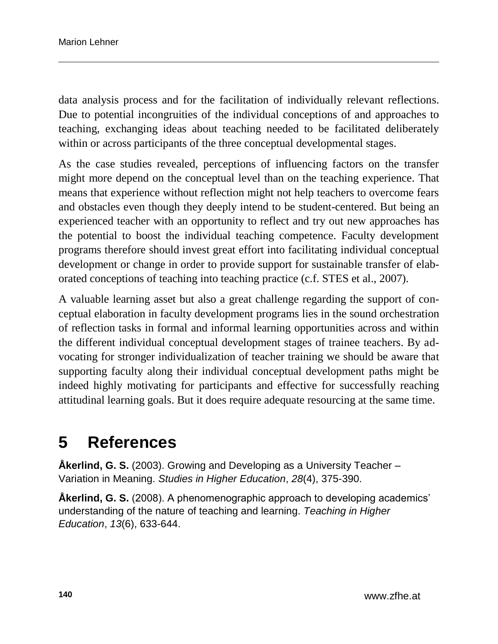data analysis process and for the facilitation of individually relevant reflections. Due to potential incongruities of the individual conceptions of and approaches to teaching, exchanging ideas about teaching needed to be facilitated deliberately within or across participants of the three conceptual developmental stages.

As the case studies revealed, perceptions of influencing factors on the transfer might more depend on the conceptual level than on the teaching experience. That means that experience without reflection might not help teachers to overcome fears and obstacles even though they deeply intend to be student-centered. But being an experienced teacher with an opportunity to reflect and try out new approaches has the potential to boost the individual teaching competence. Faculty development programs therefore should invest great effort into facilitating individual conceptual development or change in order to provide support for sustainable transfer of elaborated conceptions of teaching into teaching practice (c.f. STES et al., 2007).

A valuable learning asset but also a great challenge regarding the support of conceptual elaboration in faculty development programs lies in the sound orchestration of reflection tasks in formal and informal learning opportunities across and within the different individual conceptual development stages of trainee teachers. By advocating for stronger individualization of teacher training we should be aware that supporting faculty along their individual conceptual development paths might be indeed highly motivating for participants and effective for successfully reaching attitudinal learning goals. But it does require adequate resourcing at the same time.

## **5 References**

**Åkerlind, G. S.** (2003). Growing and Developing as a University Teacher – Variation in Meaning. *Studies in Higher Education*, *28*(4), 375-390.

**Åkerlind, G. S.** (2008). A phenomenographic approach to developing academics' understanding of the nature of teaching and learning. *Teaching in Higher Education*, *13*(6), 633-644.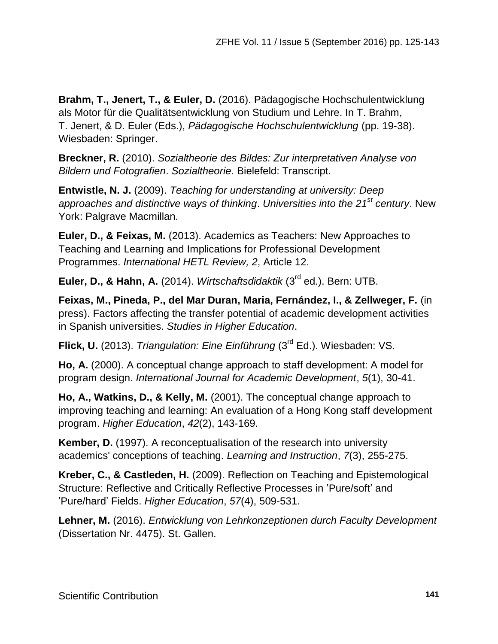**Brahm, T., Jenert, T., & Euler, D.** (2016). Pädagogische Hochschulentwicklung als Motor für die Qualitätsentwicklung von Studium und Lehre. In T. Brahm, T. Jenert, & D. Euler (Eds.), *Pädagogische Hochschulentwicklung* (pp. 19-38). Wiesbaden: Springer.

**Breckner, R.** (2010). *Sozialtheorie des Bildes: Zur interpretativen Analyse von Bildern und Fotografien*. *Sozialtheorie*. Bielefeld: Transcript.

**Entwistle, N. J.** (2009). *Teaching for understanding at university: Deep approaches and distinctive ways of thinking*. *Universities into the 21st century*. New York: Palgrave Macmillan.

**Euler, D., & Feixas, M.** (2013). Academics as Teachers: New Approaches to Teaching and Learning and Implications for Professional Development Programmes. *International HETL Review, 2*, Article 12.

**Euler, D., & Hahn, A.** (2014). *Wirtschaftsdidaktik* (3rd ed.). Bern: UTB.

**Feixas, M., Pineda, P., del Mar Duran, Maria, Fernández, I., & Zellweger, F.** (in press). Factors affecting the transfer potential of academic development activities in Spanish universities. *Studies in Higher Education*.

**Flick, U.** (2013). *Triangulation: Eine Einführung* (3rd Ed.). Wiesbaden: VS.

**Ho, A.** (2000). A conceptual change approach to staff development: A model for program design. *International Journal for Academic Development*, *5*(1), 30-41.

**Ho, A., Watkins, D., & Kelly, M.** (2001). The conceptual change approach to improving teaching and learning: An evaluation of a Hong Kong staff development program. *Higher Education*, *42*(2), 143-169.

**Kember, D.** (1997). A reconceptualisation of the research into university academics' conceptions of teaching. *Learning and Instruction*, *7*(3), 255-275.

**Kreber, C., & Castleden, H.** (2009). Reflection on Teaching and Epistemological Structure: Reflective and Critically Reflective Processes in 'Pure/soft' and 'Pure/hard' Fields. *Higher Education*, *57*(4), 509-531.

**Lehner, M.** (2016). *Entwicklung von Lehrkonzeptionen durch Faculty Development* (Dissertation Nr. 4475). St. Gallen.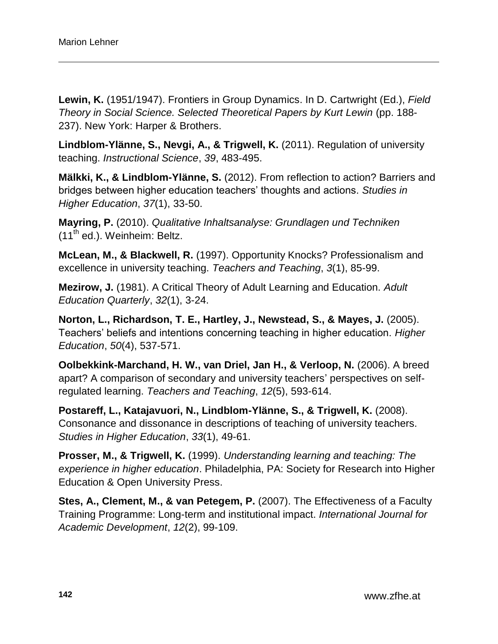**Lewin, K.** (1951/1947). Frontiers in Group Dynamics. In D. Cartwright (Ed.), *Field*  **Theory in Social Science. Selected Theoretical Papers by Kurt Lewin (pp. 188-**237). New York: Harper & Brothers.

**Lindblom-Ylänne, S., Nevgi, A., & Trigwell, K.** (2011). Regulation of university teaching. *Instructional Science*, *39*, 483-495.

**Mälkki, K., & Lindblom-Ylänne, S.** (2012). From reflection to action? Barriers and bridges between higher education teachers' thoughts and actions. *Studies in Higher Education*, *37*(1), 33-50.

**Mayring, P.** (2010). *Qualitative Inhaltsanalyse: Grundlagen und Techniken*   $(11<sup>th</sup>$  ed.). Weinheim: Beltz.

**McLean, M., & Blackwell, R.** (1997). Opportunity Knocks? Professionalism and excellence in university teaching. *Teachers and Teaching*, *3*(1), 85-99.

**Mezirow, J.** (1981). A Critical Theory of Adult Learning and Education. *Adult Education Quarterly*, *32*(1), 3-24.

**Norton, L., Richardson, T. E., Hartley, J., Newstead, S., & Mayes, J.** (2005). Teachers' beliefs and intentions concerning teaching in higher education. *Higher Education*, *50*(4), 537-571.

**Oolbekkink-Marchand, H. W., van Driel, Jan H., & Verloop, N.** (2006). A breed apart? A comparison of secondary and university teachers' perspectives on selfregulated learning. *Teachers and Teaching*, *12*(5), 593-614.

**Postareff, L., Katajavuori, N., Lindblom-Ylänne, S., & Trigwell, K.** (2008). Consonance and dissonance in descriptions of teaching of university teachers. *Studies in Higher Education*, *33*(1), 49-61.

**Prosser, M., & Trigwell, K.** (1999). *Understanding learning and teaching: The experience in higher education*. Philadelphia, PA: Society for Research into Higher Education & Open University Press.

**Stes, A., Clement, M., & van Petegem, P.** (2007). The Effectiveness of a Faculty Training Programme: Long-term and institutional impact. *International Journal for Academic Development*, *12*(2), 99-109.